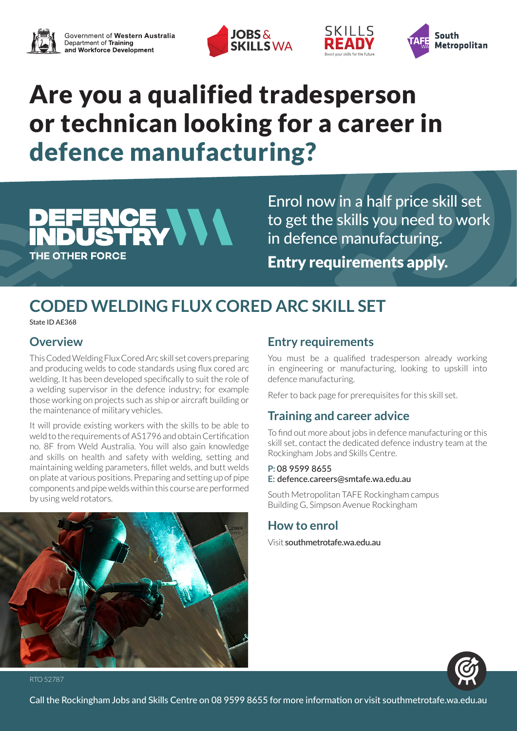





# Are you a qualified tradesperson or technican looking for a career in defence manufacturing?

## CE VVV THE OTHER FORCE

Enrol now in a half price skill set to get the skills you need to work in defence manufacturing. Entry requirements apply.

SKILLS

## **CODED WELDING FLUX CORED ARC SKILL SET**

State ID AE368

### **Overview**

This Coded Welding Flux Cored Arc skill set covers preparing and producing welds to code standards using flux cored arc welding. It has been developed specifically to suit the role of a welding supervisor in the defence industry; for example those working on projects such as ship or aircraft building or the maintenance of military vehicles.

It will provide existing workers with the skills to be able to weld to the requirements of AS1796 and obtain Certification no. 8F from Weld Australia. You will also gain knowledge and skills on health and safety with welding, setting and maintaining welding parameters, fillet welds, and butt welds on plate at various positions. Preparing and setting up of pipe components and pipe welds within this course are performed by using weld rotators.

## **Entry requirements**

You must be a qualified tradesperson already working in engineering or manufacturing, looking to upskill into defence manufacturing.

Refer to back page for prerequisites for this skill set.

## **Training and career advice**

To find out more about jobs in defence manufacturing or this skill set, contact the dedicated defence industry team at the Rockingham Jobs and Skills Centre.

#### **P:** 08 9599 8655

#### **E:** defence.careers@smtafe.wa.edu.au

South Metropolitan TAFE Rockingham campus Building G, Simpson Avenue Rockingham

### **How to enrol**

Visit southmetrotafe.wa.edu.au





RTO 52787